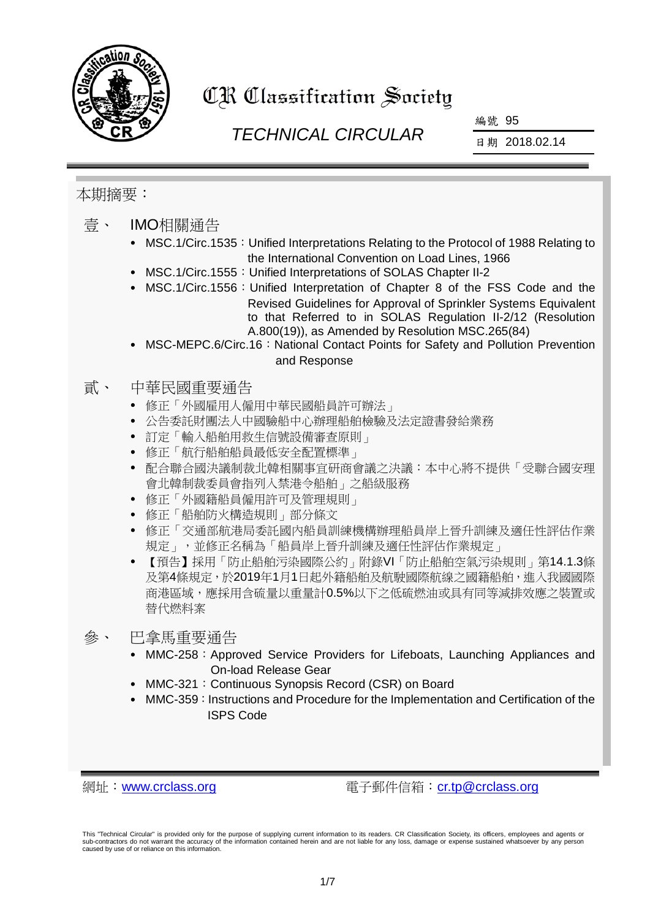

# CR Classification Society

# *TECHNICAL CIRCULAR*

編號 95

日期 2018.02.14

#### 本期摘要:

- 壹、 IMO相關通告
	- MSC.1/Circ.1535: Unified Interpretations Relating to the Protocol of 1988 Relating to the International Convention on Load Lines, 1966
	- MSC.1/Circ.1555: Unified Interpretations of SOLAS Chapter II-2
	- MSC.1/Circ.1556:Unified Interpretation of Chapter 8 of the FSS Code and the Revised Guidelines for Approval of Sprinkler Systems Equivalent to that Referred to in SOLAS Regulation II-2/12 (Resolution A.800(19)), as Amended by Resolution MSC.265(84)
	- MSC-MEPC.6/Circ.16: National Contact Points for Safety and Pollution Prevention and Response

#### 貳、 中華民國重要通告

- 修正「外國雇用人僱用中華民國船員許可辦法」
- 公告委託財團法人中國驗船中心辦理船舶檢驗及法定證書發給業務
- 訂定「輸入船舶用救生信號設備審查原則」
- 修正「航行船舶船員最低安全配置標準」
- 配合聯合國決議制裁北韓相關事宜研商會議之決議:本中心將不提供「受聯合國安理 會北韓制裁委員會指列入禁港令船舶」之船級服務
- 修正「外國籍船員僱用許可及管理規則」
- 修正「船舶防火構造規則」部分條文
- 修正「交通部航港局委託國內船員訓練機構辦理船員岸上晉升訓練及適任性評估作業 規定」,並修正名稱為「船員岸上晉升訓練及適任性評估作業規定」
- 【預告】採用「防止船舶污染國際公約」附錄VI「防止船舶空氣污染規則」第14.1.3條 及第4條規定,於2019年1月1日起外籍船舶及航駛國際航線之國籍船舶,進入我國國際 商港區域,應採用含硫量以重量計0.5%以下之低硫燃油或具有同等減排效應之裝置或 替代燃料案

參、 巴拿馬重要通告

- MMC-258: Approved Service Providers for Lifeboats, Launching Appliances and On-load Release Gear
- MMC-321: Continuous Synopsis Record (CSR) on Board
- MMC-359: Instructions and Procedure for the Implementation and Certification of the ISPS Code

網址: [www.crclass.org](http://www.crclass.org/) 雷子郵件信箱: [cr.tp@crclass.org](mailto:cr.tp@crclass.org)

This "Technical Circular" is provided only for the purpose of supplying current information to its readers. CR Classification Society, its officers, employees and agents or sub-contractors do not warrant the accuracy of the information contained herein and are not liable for any loss, damage or expense sustained whatsoever by any person caused by use of or reliance on this information.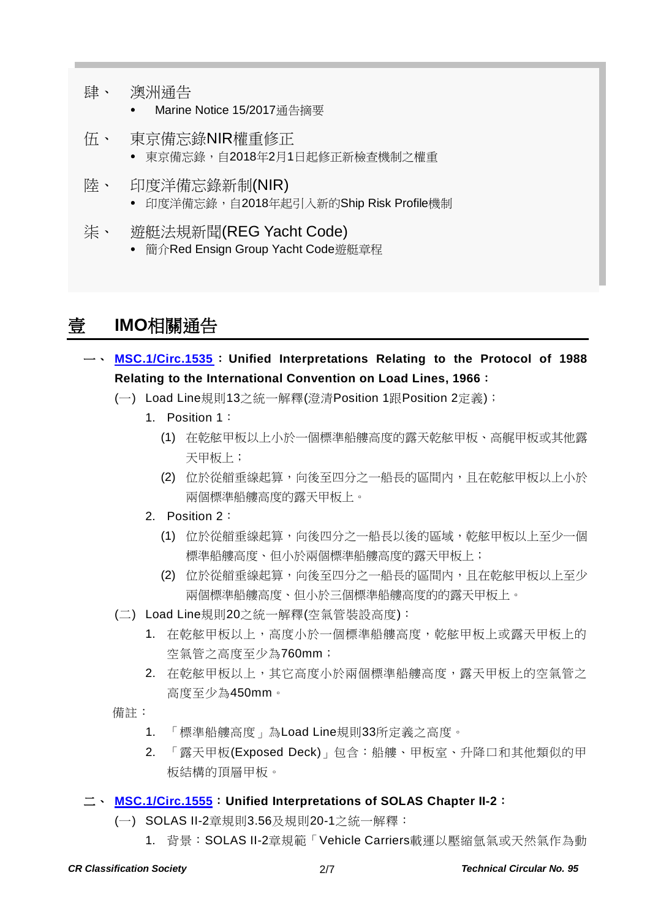- 肆、 澳洲通告
	- Marine Notice 15/2017通告摘要
- 伍、 東京備忘錄NIR權重修正 東京備忘錄,自2018年2月1日起修正新檢查機制之權重
- 陸、 印度洋備忘錄新制(NIR) 印度洋備忘錄,自2018年起引入新的Ship Risk Profile機制
- 柒、 遊艇法規新聞(REG Yacht Code) 簡介Red Ensign Group Yacht Code遊艇章程

# 壹 **IMO**相關通告

- 一、 **[MSC.1/Circ.1535](http://www.crclass.org/chinese/download/ti-tc/95/1-1%20MSC.1-Circ.1535%20-%20Unified%20Interpretations%20Relating%20To%20The%20Protocol%20Of%201988%20Relating%20To%20The%20International%20Con...%20(Secretariat).pdf)**: **Unified Interpretations Relating to the Protocol of 1988 Relating to the International Convention on Load Lines, 1966**:
	- (一) Load Line規則13之統一解釋(澄清Position 1跟Position 2定義);
		- 1. Position 1:
			- (1) 在乾舷甲板以上小於一個標準船艛高度的露天乾舷甲板、高艉甲板或其他露 天甲板上;
			- (2) 位於從艏垂線起算,向後至四分之一船長的區間內,且在乾舷甲板以上小於 兩個標準船艛高度的露天甲板上。
		- 2. Position 2:
			- (1) 位於從艏垂線起算,向後四分之一船長以後的區域,乾舷甲板以上至少一個 標準船艛高度、但小於兩個標準船艛高度的露天甲板上;
			- (2) 位於從艏垂線起算,向後至四分之一船長的區間內,且在乾舷甲板以上至少 兩個標準船艛高度、但小於三個標準船艛高度的的露天甲板上。
	- (二) Load Line規則20之統一解釋(空氣管裝設高度):
		- 1. 在乾舷甲板以上,高度小於一個標準船艛高度,乾舷甲板上或露天甲板上的 空氣管之高度至少為760mm;
		- 2. 在乾舷甲板以上,其它高度小於兩個標準船艛高度,露天甲板上的空氣管之 高度至少為450mm。
	- 備註:
		- 1. 「標準船艛高度」為Load Line規則33所定義之高度。
		- 2. 「露天甲板(Exposed Deck)」包含:船艛、甲板室、升降口和其他類似的甲 板結構的頂層甲板。

#### 二、 **[MSC.1/Circ.1555](http://www.crclass.org/chinese/download/ti-tc/95/1-2%20MSC.1-Circ.1555%20-%20Unified%20Interpretations%20Of%20Solas%20Chapter%20Ii-2%20(Secretariat).pdf)**:**Unified Interpretations of SOLAS Chapter II-2**:

- (一) SOLAS II-2章規則3.56及規則20-1之統一解釋:
	- 1. 背景:SOLAS II-2章規範「Vehicle Carriers載運以壓縮氫氣或天然氣作為動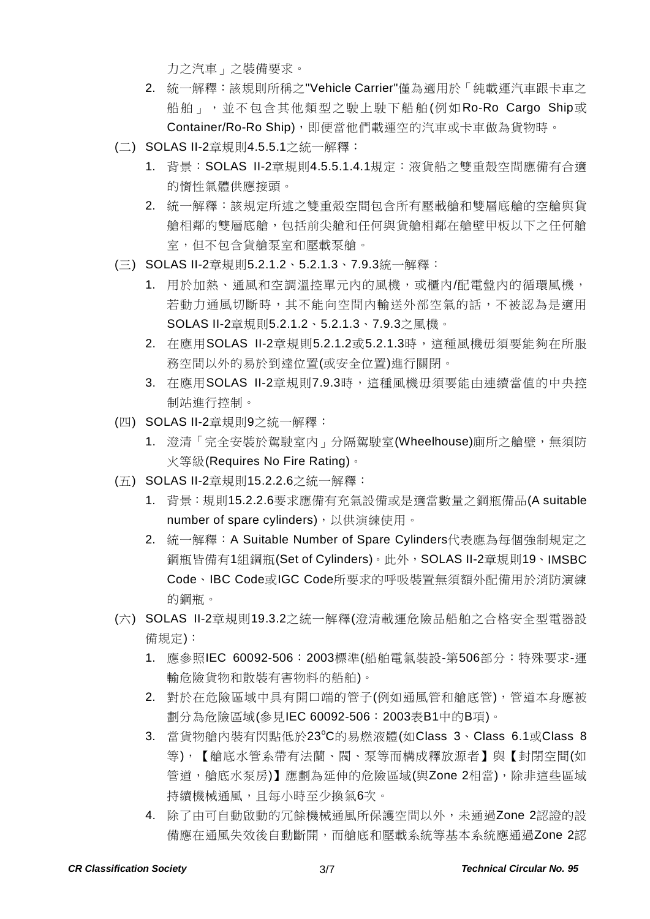力之汽車」之裝備要求。

- 2. 統一解釋:該規則所稱之"Vehicle Carrier"僅為適用於「純載運汽車跟卡車之 船舶」,並不包含其他類型之駛上駛下船舶(例如Ro-Ro Cargo Ship或 Container/Ro-Ro Ship),即便當他們載運空的汽車或卡車做為貨物時。
- (二) SOLAS II-2章規則4.5.5.1之統一解釋:
	- 1. 背景:SOLAS II-2章規則4.5.5.1.4.1規定:液貨船之雙重殼空間應備有合適 的惰性氣體供應接頭。
	- 2. 統一解釋:該規定所述之雙重殼空間包含所有壓載艙和雙層底艙的空艙與貨 艙相鄰的雙層底艙,包括前尖艙和任何與貨艙相鄰在艙壁甲板以下之任何艙 室,但不包含貨艙泵室和壓載泵艙。
- (三) SOLAS II-2章規則5.2.1.2、5.2.1.3、7.9.3統一解釋:
	- 1. 用於加熱、通風和空調溫控單元內的風機,或櫃內/配電盤內的循環風機, 若動力通風切斷時,其不能向空間內輸送外部空氣的話,不被認為是適用 SOLAS II-2章規則5.2.1.2、5.2.1.3、7.9.3之風機。
	- 2. 在應用SOLAS II-2章規則5.2.1.2或5.2.1.3時,這種風機毋須要能夠在所服 務空間以外的易於到達位置(或安全位置)進行關閉。
	- 3. 在應用SOLAS II-2章規則7.9.3時,這種風機毋須要能由連續當值的中央控 制站進行控制。
- (四) SOLAS II-2章規則9之統一解釋:
	- 1. 澄清「完全安裝於駕駛室內」分隔駕駛室(Wheelhouse)廁所之艙壁,無須防 火等級(Requires No Fire Rating)。
- (五) SOLAS II-2章規則15.2.2.6之統一解釋:
	- 1. 背景:規則15.2.2.6要求應備有充氣設備或是適當數量之鋼瓶備品(A suitable number of spare cylinders),以供演練使用。
	- 2. 統一解釋:A Suitable Number of Spare Cylinders代表應為每個強制規定之 鋼瓶皆備有1組鋼瓶(Set of Cylinders)。此外,SOLAS II-2章規則19、IMSBC Code、IBC Code或IGC Code所要求的呼吸裝置無須額外配備用於消防演練 的鋼瓶。
- (六) SOLAS II-2章規則19.3.2之統一解釋(澄清載運危險品船舶之合格安全型電器設 備規定):
	- 1. 應參照IEC 60092-506:2003標準(船舶電氣裝設-第506部分:特殊要求-運 輸危險貨物和散裝有害物料的船舶)。
	- 2. 對於在危險區域中具有開口端的管子(例如通風管和艙底管),管道本身應被 劃分為危險區域(參見IEC 60092-506:2003表B1中的B項)。
	- 3. 當貨物艙內裝有閃點低於23°C的易燃液體(如Class 3、Class 6.1或Class 8 等),【艙底水管系帶有法蘭、閥、泵等而構成釋放源者】與【封閉空間(如 管道,艙底水泵房)】應劃為延伸的危險區域(與Zone 2相當),除非這些區域 持續機械通風, 且每小時至少換氣6次。
	- 4. 除了由可自動啟動的冗餘機械通風所保護空間以外,未通過Zone 2認證的設 備應在通風失效後自動斷開,而艙底和壓載系統等基本系統應通過Zone 2認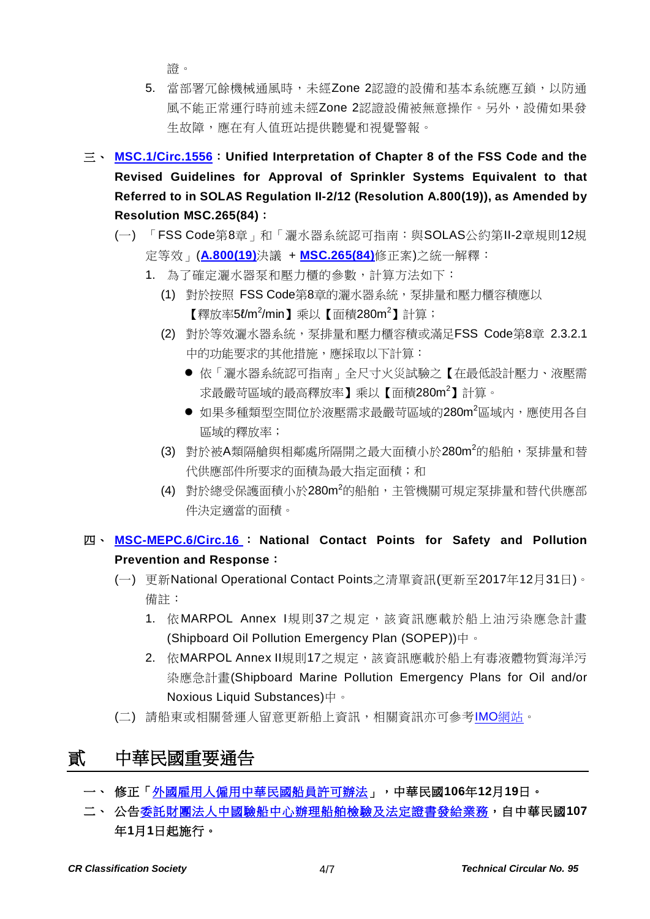證。

- 5. 當部署冗餘機械通風時,未經Zone 2認證的設備和基本系統應互鎖,以防通 風不能正常運行時前述未經Zone 2認證設備被無意操作。另外,設備如果發 生故障,應在有人值班站提供聽覺和視覺警報。
- 三、 **[MSC.1/Circ.1556](http://www.crclass.org/chinese/download/ti-tc/95/1-3%20MSC.1-Circ.1556%20-%20Unified%20Interpretation%20Of%20Chapter%208%20Of%20The%20Fss%20Code%20And%20The%20Revised%20Guidelines%20For%20Approva...%20(Secretariat).pdf)**:**Unified Interpretation of Chapter 8 of the FSS Code and the Revised Guidelines for Approval of Sprinkler Systems Equivalent to that Referred to in SOLAS Regulation II-2/12 (Resolution A.800(19)), as Amended by Resolution MSC.265(84)**:
	- (一) 「FSS Code第8章」和「灑水器系統認可指南:與SOLAS公約第II-2章規則12規 定等效」(**[A.800\(19\)](http://www.crclass.org/chinese/download/ti-tc/95/1-4%20A.800(19).pdf)**決議 + **[MSC.265\(84\)](http://www.crclass.org/chinese/download/ti-tc/95/1-5%20MSC.265(84).pdf)**修正案)之統一解釋:
		- 1. 為了確定灑水器泵和壓力櫃的參數,計算方法如下:
			- (1) 對於按照 FSS Code第8章的灑水器系統,泵排量和壓力櫃容積應以 【釋放率5ℓ/m²/min】乘以【面積280m²】 計算;
			- (2) 對於等效灑水器系統,泵排量和壓力櫃容積或滿足FSS Code第8章 2.3.2.1 中的功能要求的其他措施,應採取以下計算:
				- 依「灑水器系統認可指南」全尺寸火災試驗之【在最低設計壓力、液壓需 求最嚴苛區域的最高釋放率】乘以【面積280m<sup>2</sup> 】計算。
				- 如果多種類型空間位於液壓需求最嚴苛區域的280m<sup>2</sup>區域內,應使用各自 區域的釋放率;
			- (3) 對於被A類隔艙與相鄰處所隔開之最大面積小於280m<sup>2</sup>的船舶,泵排量和替 代供應部件所要求的面積為最大指定面積;和
			- (4) 對於總受保護面積小於280m<sup>2</sup>的船舶,主管機關可規定泵排量和替代供應部 件決定適當的面積。

### 四、 **[MSC-MEPC.6/Circ.16](http://www.crclass.org/chinese/download/ti-tc/95/1-6%20MSC-MEPC.6-Circ.16%20Annex%20(SOPEP)%20-%2031%20December%202017.pdf)** : **National Contact Points for Safety and Pollution Prevention and Response**:

- (一) 更新National Operational Contact Points之清單資訊(更新至2017年12月31日)。 備註:
	- 1. 依MARPOL Annex I規則37之規定,該資訊應載於船上油污染應急計畫 (Shipboard Oil Pollution Emergency Plan (SOPEP))中。
	- 2. 依MARPOL Annex II規則17之規定,該資訊應載於船上有毒液體物質海洋污 染應急計畫(Shipboard Marine Pollution Emergency Plans for Oil and/or Noxious Liquid Substances)中。
- (二) 請船東或相關營運人留意更新船上資訊,相關資訊亦可參考IMO[網站。](http://www.imo.org/en/OurWork/Circulars/Pages/CP.aspx)

# 貳 中華民國重要通告

- 一、 修正[「外國雇用人僱用中華民國船員許可辦法」](http://gazette.nat.gov.tw/egFront/detail.do?metaid=95356&log=detailLog),中華民國**106**年**12**月**19**日。
- 二、 公[告委託財團法人中國驗船中心辦理船舶檢驗及法定證書發給業務,](https://odmdoc.motc.gov.tw/IFDEWebBBS_MOTC/ExternalBBS.aspx?ThirdDocId=107RD00414)自中華民國**107** 年**1**月**1**日起施行。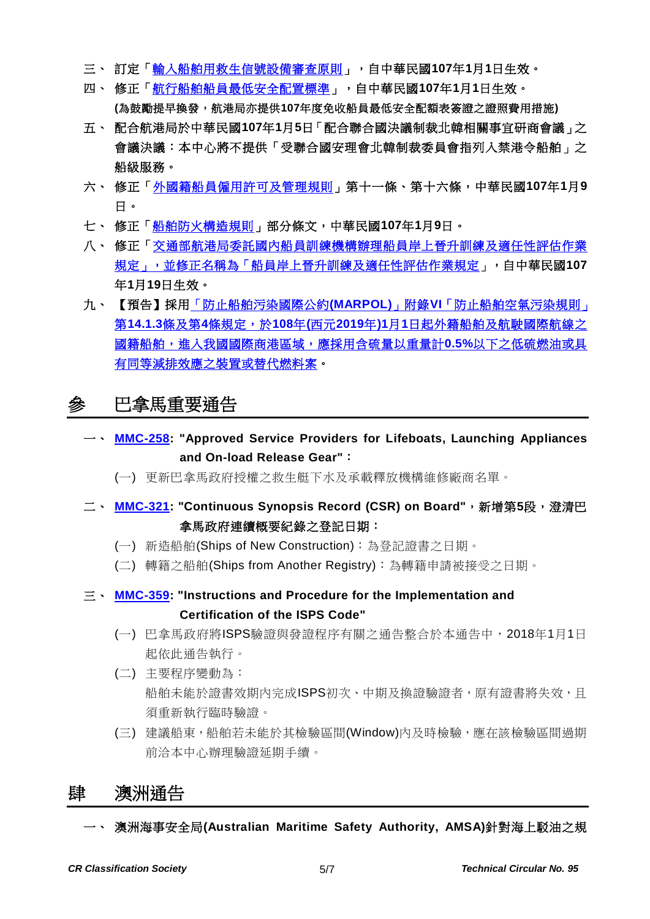- 三、 訂定[「輸入船舶用救生信號設備審查原則」](http://gazette.nat.gov.tw/egFront/detail.do?metaid=95339&log=detailLog),自中華民國**107**年**1**月**1**日生效。
- 四、 修正[「航行船舶船員最低安全配置標準」](http://gazette.nat.gov.tw/egFront/detail.do?metaid=95519&log=detailLog),自中華民國**107**年**1**月**1**日生效。 **(**為鼓勵提早換發,航港局亦提供**107**年度免收船員最低安全配額表簽證之證照費用措施**)**
- 五、 配合航港局於中華民國**107**年**1**月**5**日「配合聯合國決議制裁北韓相關事宜研商會議」之 會議決議:本中心將不提供「受聯合國安理會北韓制裁委員會指列入禁港令船舶」之 船級服務。
- 六、 修正[「外國籍船員僱用許可及管理規則」](http://gazette.nat.gov.tw/egFront/detail.do?metaid=95825&log=detailLog)第十一條、第十六條,中華民國**107**年**1**月**9** 日。
- 七、 修正[「船舶防火構造規則」](http://gazette.nat.gov.tw/egFront/detail.do?metaid=95841&log=detailLog)部分條文,中華民國**107**年**1**月**9**日。
- 八、 修正[「交通部航港局委託國內船員訓練機構辦理船員岸上晉升訓練及適任性評估作業](http://gazette.nat.gov.tw/egFront/detail.do?metaid=96130&log=detailLog) [規定」,並修正名稱為「船員岸上晉升訓練及適任性評估作業規定」](http://gazette.nat.gov.tw/egFront/detail.do?metaid=96130&log=detailLog),自中華民國**107** 年**1**月**19**日生效。
- 九、 【預告】採用「防止船舶污染國際公約**(MARPOL)**」附錄**VI**[「防止船舶空氣污染規則」](https://odmdoc.motc.gov.tw/IFDEWebBBS_MOTC/ExternalBBS.aspx?ThirdDocId=107RD00650) 第**14.1.3**條及第**4**條規定,於**108**年**(**西元**2019**年**)1**月**1**[日起外籍船舶及航駛國際航線之](https://odmdoc.motc.gov.tw/IFDEWebBBS_MOTC/ExternalBBS.aspx?ThirdDocId=107RD00650) [國籍船舶,進入我國國際商港區域,應採用含硫量以重量計](https://odmdoc.motc.gov.tw/IFDEWebBBS_MOTC/ExternalBBS.aspx?ThirdDocId=107RD00650)**0.5%**以下之低硫燃油或具 [有同等減排效應之裝置或替代燃料案。](https://odmdoc.motc.gov.tw/IFDEWebBBS_MOTC/ExternalBBS.aspx?ThirdDocId=107RD00650)

# 參 巴拿馬重要通告

- 一、 **[MMC-258:](http://www.crclass.org/chinese/download/ti-tc/95/3-1%20PMA-MMC-258%20.pdf) "Approved Service Providers for Lifeboats, Launching Appliances and On-load Release Gear"**:
	- (一) 更新巴拿馬政府授權之救生艇下水及承載釋放機構維修廠商名單。
- 二、 **[MMC-321:](http://www.crclass.org/chinese/download/ti-tc/95/3-2MMC-321.pdf) "Continuous Synopsis Record (CSR) on Board"**,新增第**5**段,澄清巴 拿馬政府連續概要紀錄之登記日期:
	- (一) 新造船舶(Ships of New Construction):為登記證書之日期。
	- (二) 轉籍之船舶(Ships from Another Registry):為轉籍申請被接受之日期。
- 三、 **[MMC-359:](http://www.crclass.org/chinese/download/ti-tc/95/3-3%20MMC-359.pdf) "Instructions and Procedure for the Implementation and Certification of the ISPS Code"**
	- (一) 巴拿馬政府將ISPS驗證與發證程序有關之通告整合於本通告中,2018年1月1日 起依此通告執行。
	- (二) 主要程序變動為: 船舶未能於證書效期內完成ISPS初次、中期及換證驗證者,原有證書將失效,且 須重新執行臨時驗證。
	- (三) 建議船東,船舶若未能於其檢驗區間(Window)內及時檢驗,應在該檢驗區間過期 前洽本中心辦理驗證延期手續。

### 肆 澳洲通告

一、 澳洲海事安全局**(Australian Maritime Safety Authority, AMSA)**針對海上駁油之規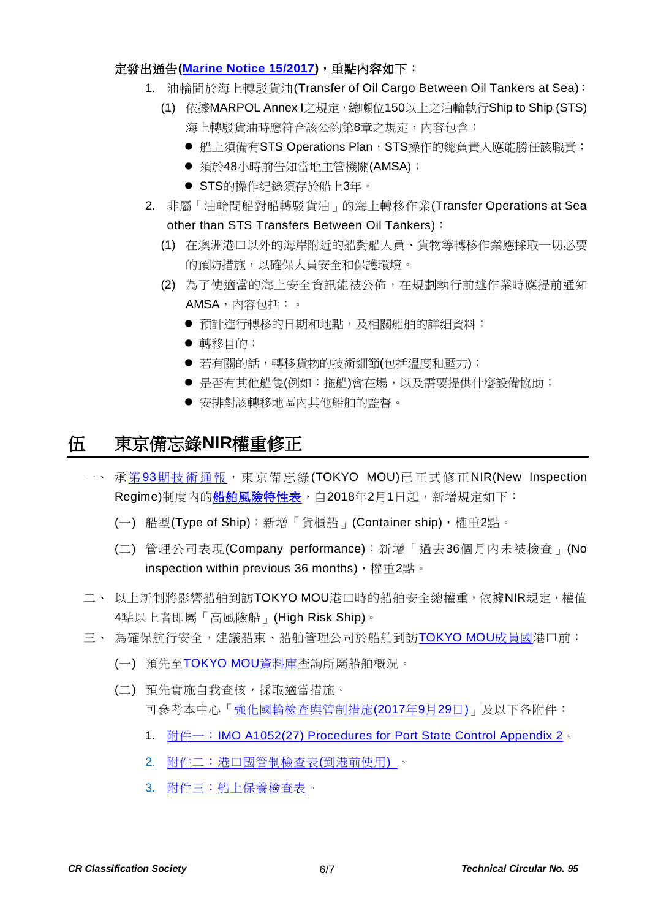#### 定發出通告**[\(Marine Notice 15/2017\)](http://www.crclass.org/chinese/download/ti-tc/95/4-1%2015.17.pdf)**,重點內容如下:

- 1. 油輪間於海上轉駁貨油(Transfer of Oil Cargo Between Oil Tankers at Sea):
	- (1) 依據MARPOL Annex I之規定,總噸位150以上之油輪執行Ship to Ship (STS) 海上轉駁貨油時應符合該公約第8章之規定,內容包含:
		- 船上須備有STS Operations Plan, STS操作的總負責人應能勝任該職責;
		- 須於48小時前告知當地主管機關(AMSA);
		- STS的操作紀錄須存於船上3年。
- 2. 非屬「油輪間船對船轉駁貨油」的海上轉移作業(Transfer Operations at Sea other than STS Transfers Between Oil Tankers):
	- (1) 在澳洲港口以外的海岸附近的船對船人員、貨物等轉移作業應採取一切必要 的預防措施,以確保人員安全和保護環境。
	- (2) 為了使適當的海上安全資訊能被公佈,在規劃執行前述作業時應提前通知 AMSA,內容包括:。
		- 預計進行轉移的日期和地點,及相關船舶的詳細資料;
		- 轉移目的;
		- 若有關的話,轉移貨物的技術細節(包括溫度和壓力);
		- 是否有其他船隻(例如:拖船)會在場,以及需要提供什麼設備協助;
		- 安排對該轉移地區內其他船舶的監督。

### 伍 東京備忘錄**NIR**權重修正

- 一、 承第93[期技術通報,](http://www.crclass.org/chinese/download/ti-tc/93/93.pdf)東京備忘錄(TOKYO MOU)已正式修正NIR(New Inspection Regime)制度內[的船舶風險特性表,](http://www.crclass.org/chinese/download/ti-tc/95/5-1%20NIR-information%20sheet-r.pdf)自2018年2月1日起,新增規定如下:
	- (一) 船型(Type of Ship):新增「貨櫃船」(Container ship),權重2點。
	- (二) 管理公司表現(Company performance):新增「過去36個月內未被檢查」(No inspection within previous 36 months), 權重2點。
- 二、以上新制將影響船舶到訪TOKYO MOU港口時的船舶安全總權重,依據NIR規定,權值 4點以上者即屬「高風險船」(High Risk Ship)。
- 三、 為確保航行安全,建議船東、船舶管理公司於船舶到訪[TOKYO MOU](http://www.tokyo-mou.org/organization/organizational_structure.php)成員國港口前:
	- (一) 預先至[TOKYO MOU](http://www.tokyo-mou.org/inspections_detentions/psc_database.php)資料庫查詢所屬船舶概況。
	- (二) 預先實施自我查核,採取適當措施。 可參考本中心[「強化國輪檢查與管制措施](http://www.crclass.org/chinese/download/ti-tc/95/5-2%20%E5%BC%B7%E5%8C%96%E5%9C%8B%E8%BC%AA%E6%AA%A2%E6%9F%A5%E8%88%87%E7%AE%A1%E5%88%B6%E6%8E%AA%E6%96%BD.pdf)(2017年9月29日)」及以下各附件:
		- 1. 附件一: [IMO A1052\(27\) Procedures for Port State Control Appendix 2](http://www.crclass.org/chinese/download/ti-tc/95/5-3%20IMO%20A1052(27)%20Procedures%20for%20Port%20State%20Control%20Appendix%202.pdf)。
		- 2. [附件二:港口國管制檢查表](http://www.crclass.org/chinese/download/ti-tc/95/5-4%20Pre%20Arrival%20PSC%20Checklist-201709.pdf)(到港前使用) 。
		- 3. [附件三:船上保養檢查表。](http://www.crclass.org/chinese/download/ti-tc/95/5-5%20Checklist%20for%20Onboard%20Maintenance-20170927.pdf)